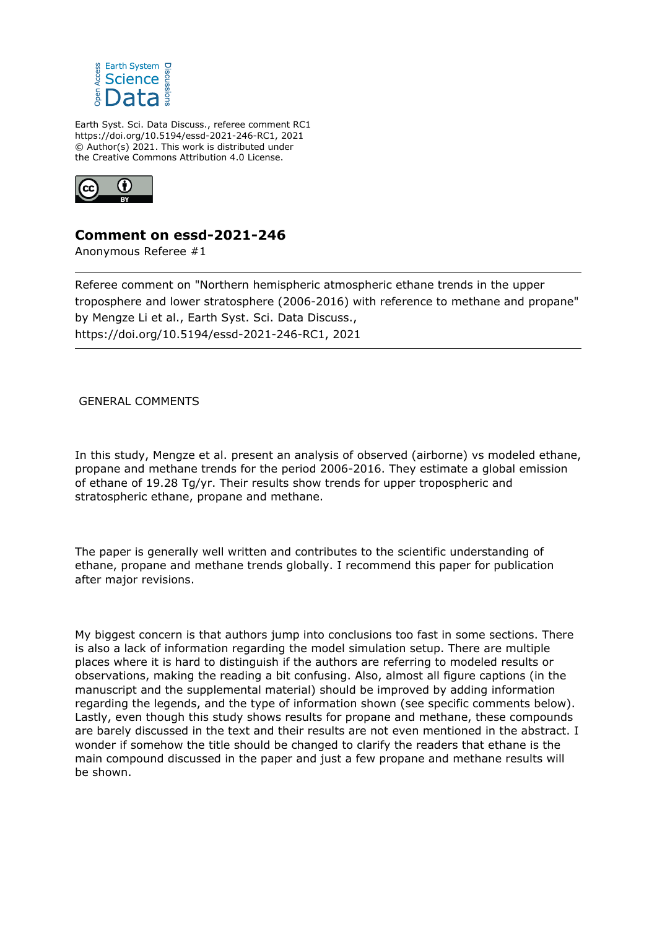

Earth Syst. Sci. Data Discuss., referee comment RC1 https://doi.org/10.5194/essd-2021-246-RC1, 2021 © Author(s) 2021. This work is distributed under the Creative Commons Attribution 4.0 License.



## **Comment on essd-2021-246**

Anonymous Referee #1

Referee comment on "Northern hemispheric atmospheric ethane trends in the upper troposphere and lower stratosphere (2006-2016) with reference to methane and propane" by Mengze Li et al., Earth Syst. Sci. Data Discuss., https://doi.org/10.5194/essd-2021-246-RC1, 2021

GENERAL COMMENTS

In this study, Mengze et al. present an analysis of observed (airborne) vs modeled ethane, propane and methane trends for the period 2006-2016. They estimate a global emission of ethane of 19.28 Tg/yr. Their results show trends for upper tropospheric and stratospheric ethane, propane and methane.

The paper is generally well written and contributes to the scientific understanding of ethane, propane and methane trends globally. I recommend this paper for publication after major revisions.

My biggest concern is that authors jump into conclusions too fast in some sections. There is also a lack of information regarding the model simulation setup. There are multiple places where it is hard to distinguish if the authors are referring to modeled results or observations, making the reading a bit confusing. Also, almost all figure captions (in the manuscript and the supplemental material) should be improved by adding information regarding the legends, and the type of information shown (see specific comments below). Lastly, even though this study shows results for propane and methane, these compounds are barely discussed in the text and their results are not even mentioned in the abstract. I wonder if somehow the title should be changed to clarify the readers that ethane is the main compound discussed in the paper and just a few propane and methane results will be shown.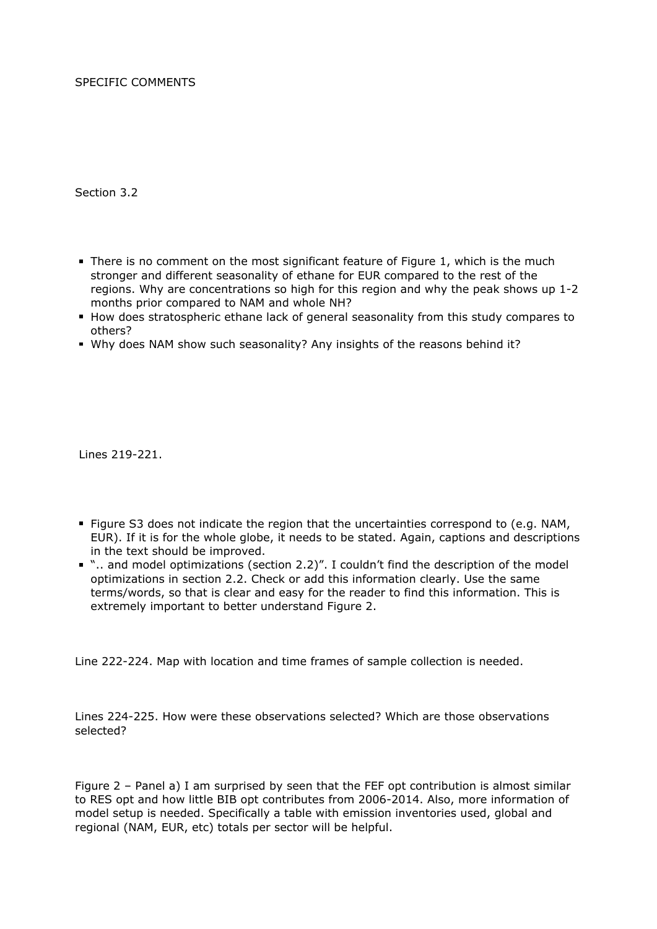SPECIFIC COMMENTS

Section 3.2

- There is no comment on the most significant feature of Figure 1, which is the much stronger and different seasonality of ethane for EUR compared to the rest of the regions. Why are concentrations so high for this region and why the peak shows up 1-2 months prior compared to NAM and whole NH?
- How does stratospheric ethane lack of general seasonality from this study compares to others?
- Why does NAM show such seasonality? Any insights of the reasons behind it?

Lines 219-221.

- Figure S3 does not indicate the region that the uncertainties correspond to (e.g. NAM, EUR). If it is for the whole globe, it needs to be stated. Again, captions and descriptions in the text should be improved.
- ".. and model optimizations (section 2.2)". I couldn't find the description of the model optimizations in section 2.2. Check or add this information clearly. Use the same terms/words, so that is clear and easy for the reader to find this information. This is extremely important to better understand Figure 2.

Line 222-224. Map with location and time frames of sample collection is needed.

Lines 224-225. How were these observations selected? Which are those observations selected?

Figure 2 – Panel a) I am surprised by seen that the FEF opt contribution is almost similar to RES opt and how little BIB opt contributes from 2006-2014. Also, more information of model setup is needed. Specifically a table with emission inventories used, global and regional (NAM, EUR, etc) totals per sector will be helpful.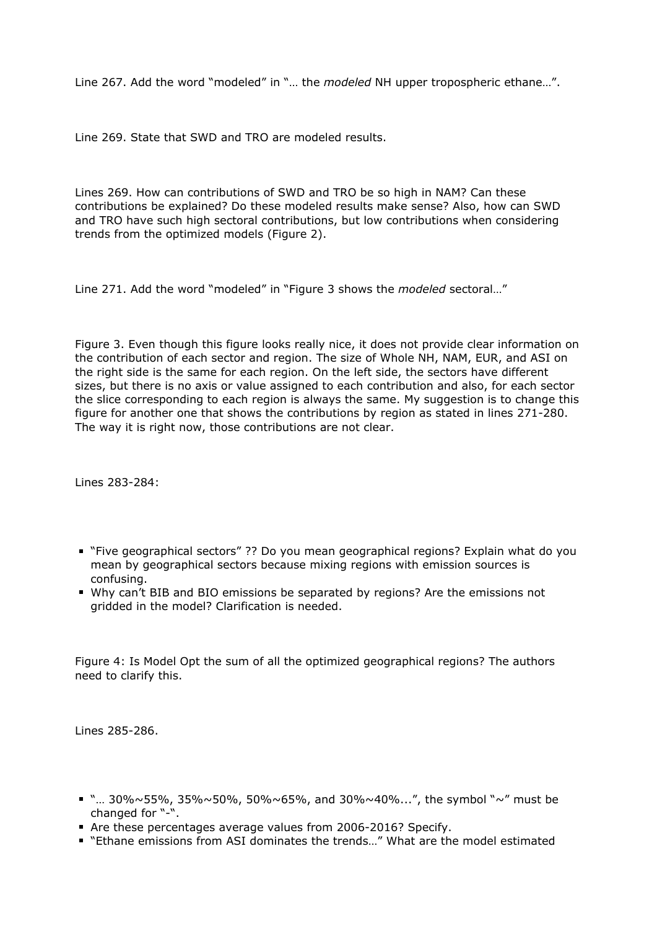Line 267. Add the word "modeled" in "… the *modeled* NH upper tropospheric ethane…".

Line 269. State that SWD and TRO are modeled results.

Lines 269. How can contributions of SWD and TRO be so high in NAM? Can these contributions be explained? Do these modeled results make sense? Also, how can SWD and TRO have such high sectoral contributions, but low contributions when considering trends from the optimized models (Figure 2).

Line 271. Add the word "modeled" in "Figure 3 shows the *modeled* sectoral…"

Figure 3. Even though this figure looks really nice, it does not provide clear information on the contribution of each sector and region. The size of Whole NH, NAM, EUR, and ASI on the right side is the same for each region. On the left side, the sectors have different sizes, but there is no axis or value assigned to each contribution and also, for each sector the slice corresponding to each region is always the same. My suggestion is to change this figure for another one that shows the contributions by region as stated in lines 271-280. The way it is right now, those contributions are not clear.

Lines 283-284:

- "Five geographical sectors" ?? Do you mean geographical regions? Explain what do you mean by geographical sectors because mixing regions with emission sources is confusing.
- Why can't BIB and BIO emissions be separated by regions? Are the emissions not gridded in the model? Clarification is needed.

Figure 4: Is Model Opt the sum of all the optimized geographical regions? The authors need to clarify this.

Lines 285-286.

- " "...  $30\% \sim 55\%$ ,  $35\% \sim 50\%$ ,  $50\% \sim 65\%$ , and  $30\% \sim 40\%$ ...", the symbol " $\sim$ " must be changed for "-".
- Are these percentages average values from 2006-2016? Specify.
- "Ethane emissions from ASI dominates the trends..." What are the model estimated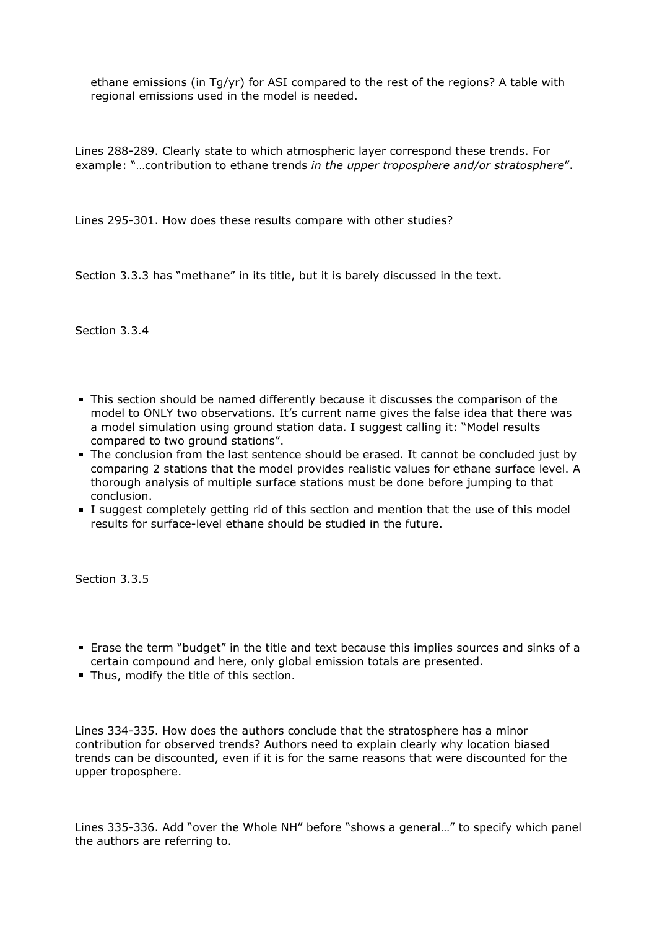ethane emissions (in Tg/yr) for ASI compared to the rest of the regions? A table with regional emissions used in the model is needed.

Lines 288-289. Clearly state to which atmospheric layer correspond these trends. For example: "…contribution to ethane trends *in the upper troposphere and/or stratosphere*".

Lines 295-301. How does these results compare with other studies?

Section 3.3.3 has "methane" in its title, but it is barely discussed in the text.

Section 3.3.4

- This section should be named differently because it discusses the comparison of the model to ONLY two observations. It's current name gives the false idea that there was a model simulation using ground station data. I suggest calling it: "Model results compared to two ground stations".
- The conclusion from the last sentence should be erased. It cannot be concluded just by comparing 2 stations that the model provides realistic values for ethane surface level. A thorough analysis of multiple surface stations must be done before jumping to that conclusion.
- I suggest completely getting rid of this section and mention that the use of this model results for surface-level ethane should be studied in the future.

Section 3.3.5

- Erase the term "budget" in the title and text because this implies sources and sinks of a certain compound and here, only global emission totals are presented.
- Thus, modify the title of this section.

Lines 334-335. How does the authors conclude that the stratosphere has a minor contribution for observed trends? Authors need to explain clearly why location biased trends can be discounted, even if it is for the same reasons that were discounted for the upper troposphere.

Lines 335-336. Add "over the Whole NH" before "shows a general…" to specify which panel the authors are referring to.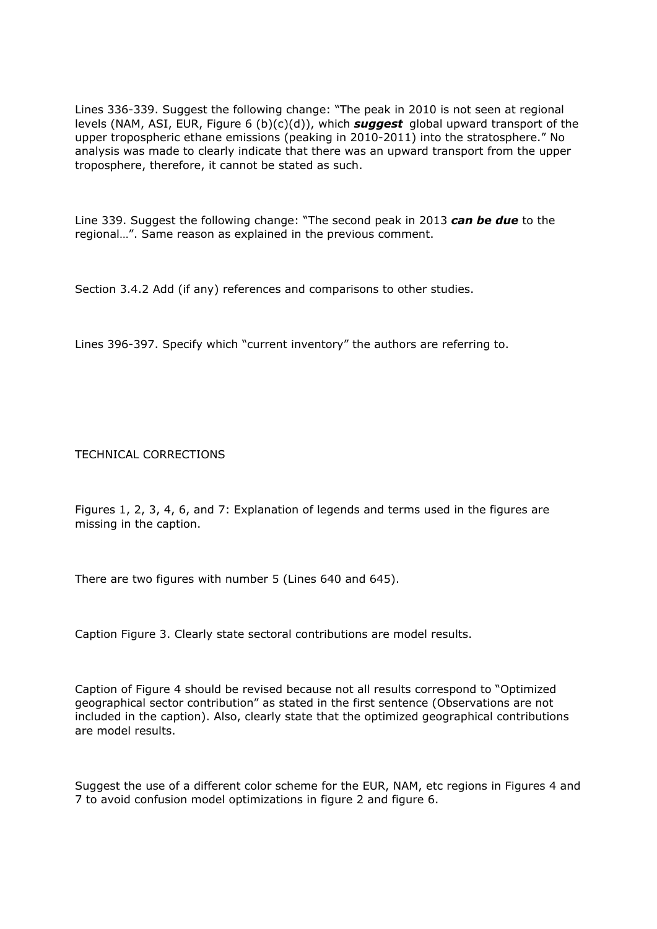Lines 336-339. Suggest the following change: "The peak in 2010 is not seen at regional levels (NAM, ASI, EUR, Figure 6 (b)(c)(d)), which *suggest* global upward transport of the upper tropospheric ethane emissions (peaking in 2010-2011) into the stratosphere." No analysis was made to clearly indicate that there was an upward transport from the upper troposphere, therefore, it cannot be stated as such.

Line 339. Suggest the following change: "The second peak in 2013 *can be due* to the regional…". Same reason as explained in the previous comment.

Section 3.4.2 Add (if any) references and comparisons to other studies.

Lines 396-397. Specify which "current inventory" the authors are referring to.

TECHNICAL CORRECTIONS

Figures 1, 2, 3, 4, 6, and 7: Explanation of legends and terms used in the figures are missing in the caption.

There are two figures with number 5 (Lines 640 and 645).

Caption Figure 3. Clearly state sectoral contributions are model results.

Caption of Figure 4 should be revised because not all results correspond to "Optimized geographical sector contribution" as stated in the first sentence (Observations are not included in the caption). Also, clearly state that the optimized geographical contributions are model results.

Suggest the use of a different color scheme for the EUR, NAM, etc regions in Figures 4 and 7 to avoid confusion model optimizations in figure 2 and figure 6.